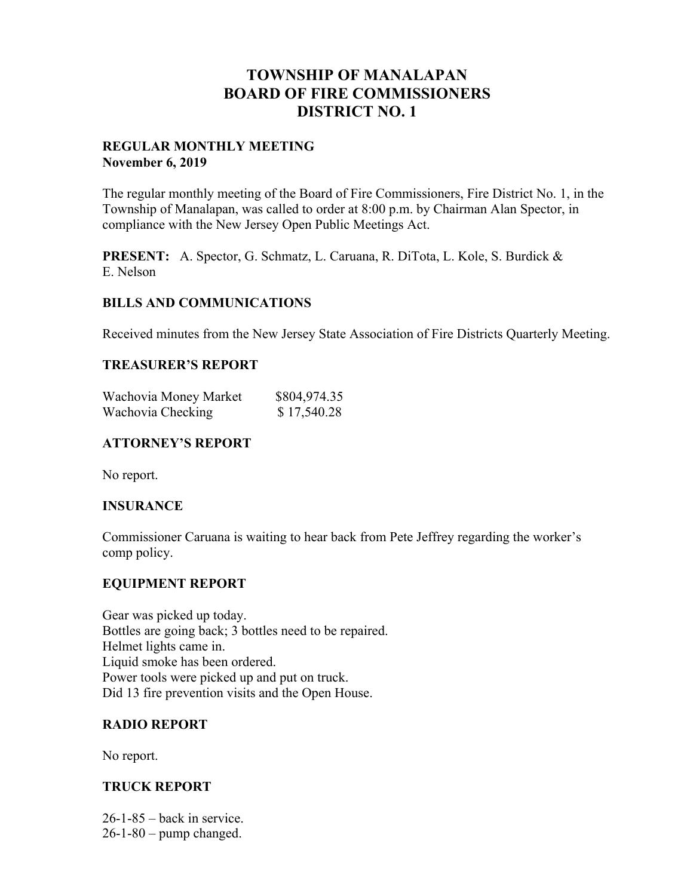# **TOWNSHIP OF MANALAPAN BOARD OF FIRE COMMISSIONERS DISTRICT NO. 1**

## **REGULAR MONTHLY MEETING November 6, 2019**

The regular monthly meeting of the Board of Fire Commissioners, Fire District No. 1, in the Township of Manalapan, was called to order at 8:00 p.m. by Chairman Alan Spector, in compliance with the New Jersey Open Public Meetings Act.

**PRESENT:** A. Spector, G. Schmatz, L. Caruana, R. DiTota, L. Kole, S. Burdick & E. Nelson

## **BILLS AND COMMUNICATIONS**

Received minutes from the New Jersey State Association of Fire Districts Quarterly Meeting.

## **TREASURER'S REPORT**

| Wachovia Money Market | \$804,974.35 |
|-----------------------|--------------|
| Wachovia Checking     | \$17,540.28  |

## **ATTORNEY'S REPORT**

No report.

## **INSURANCE**

Commissioner Caruana is waiting to hear back from Pete Jeffrey regarding the worker's comp policy.

## **EQUIPMENT REPORT**

Gear was picked up today. Bottles are going back; 3 bottles need to be repaired. Helmet lights came in. Liquid smoke has been ordered. Power tools were picked up and put on truck. Did 13 fire prevention visits and the Open House.

# **RADIO REPORT**

No report.

# **TRUCK REPORT**

 $26-1-85$  – back in service.  $26-1-80$  – pump changed.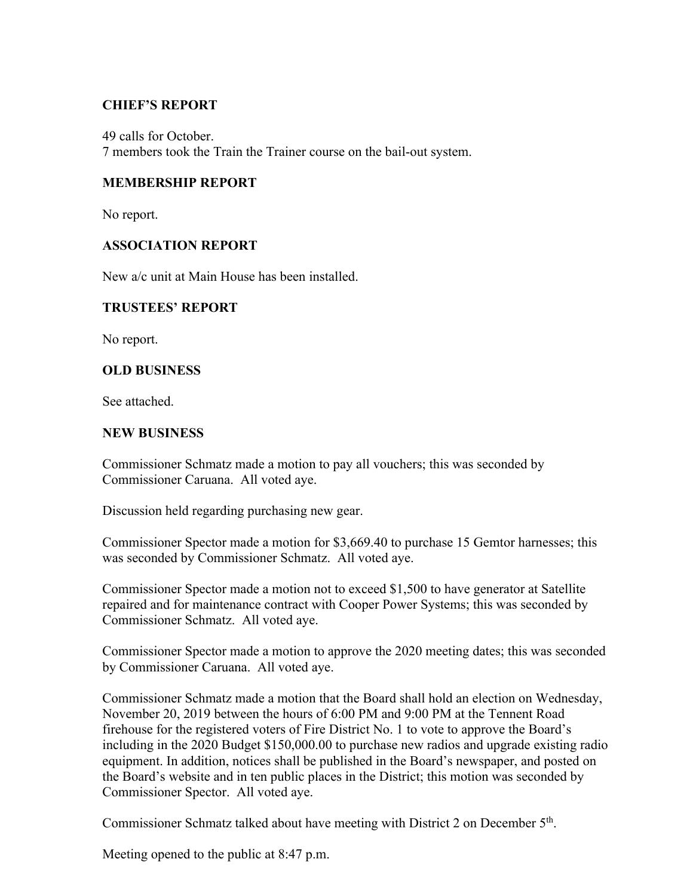## **CHIEF'S REPORT**

49 calls for October. 7 members took the Train the Trainer course on the bail-out system.

## **MEMBERSHIP REPORT**

No report.

## **ASSOCIATION REPORT**

New a/c unit at Main House has been installed.

## **TRUSTEES' REPORT**

No report.

## **OLD BUSINESS**

See attached.

#### **NEW BUSINESS**

Commissioner Schmatz made a motion to pay all vouchers; this was seconded by Commissioner Caruana. All voted aye.

Discussion held regarding purchasing new gear.

Commissioner Spector made a motion for \$3,669.40 to purchase 15 Gemtor harnesses; this was seconded by Commissioner Schmatz. All voted aye.

Commissioner Spector made a motion not to exceed \$1,500 to have generator at Satellite repaired and for maintenance contract with Cooper Power Systems; this was seconded by Commissioner Schmatz. All voted aye.

Commissioner Spector made a motion to approve the 2020 meeting dates; this was seconded by Commissioner Caruana. All voted aye.

Commissioner Schmatz made a motion that the Board shall hold an election on Wednesday, November 20, 2019 between the hours of 6:00 PM and 9:00 PM at the Tennent Road firehouse for the registered voters of Fire District No. 1 to vote to approve the Board's including in the 2020 Budget \$150,000.00 to purchase new radios and upgrade existing radio equipment. In addition, notices shall be published in the Board's newspaper, and posted on the Board's website and in ten public places in the District; this motion was seconded by Commissioner Spector. All voted aye.

Commissioner Schmatz talked about have meeting with District 2 on December 5th.

Meeting opened to the public at 8:47 p.m.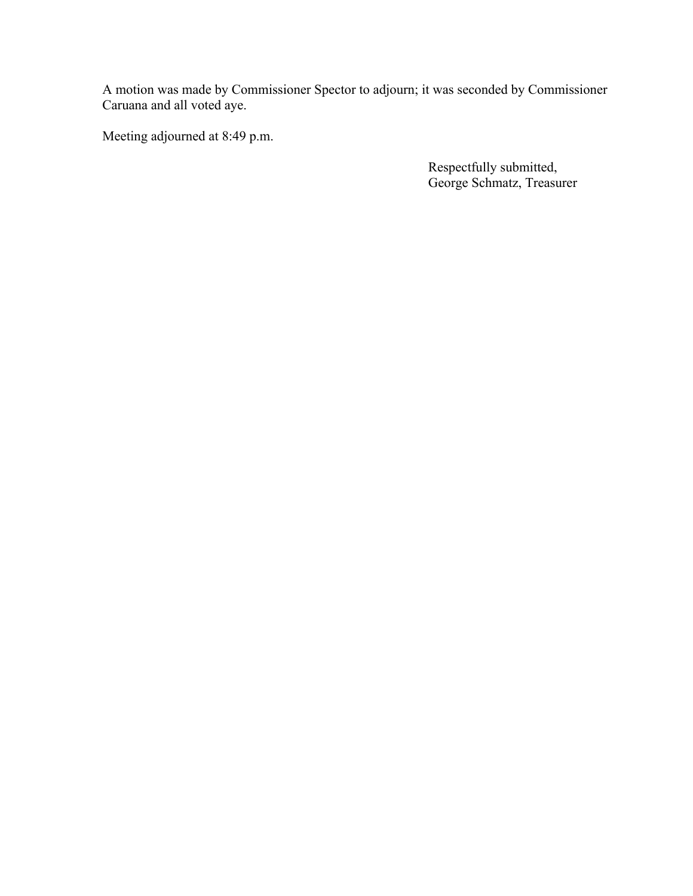A motion was made by Commissioner Spector to adjourn; it was seconded by Commissioner Caruana and all voted aye.

Meeting adjourned at 8:49 p.m.

Respectfully submitted, George Schmatz, Treasurer